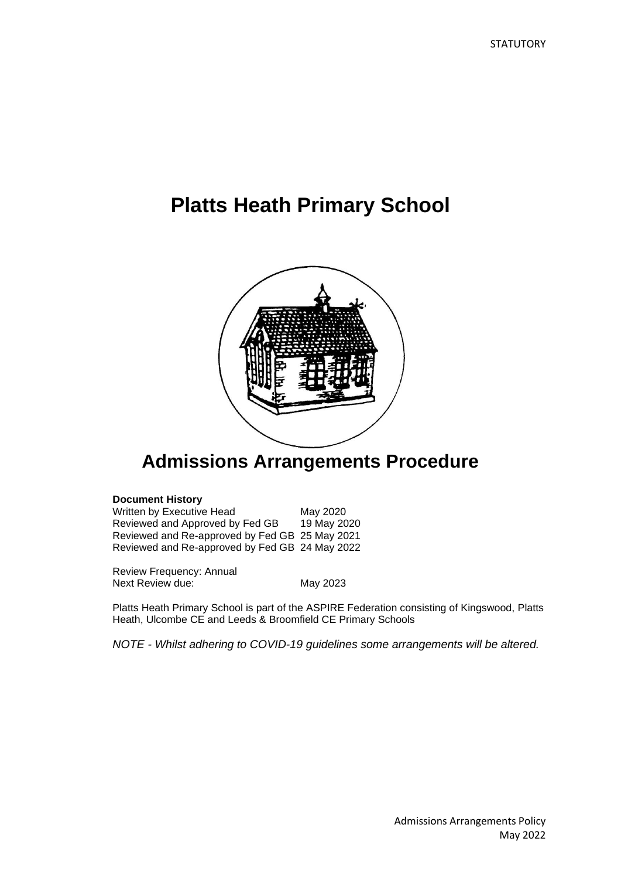# **Platts Heath Primary School**



## **Admissions Arrangements Procedure**

#### **Document History**

Written by Executive Head<br>
Reviewed and Approved by Fed GB 19 May 2020 Reviewed and Approved by Fed GB Reviewed and Re-approved by Fed GB 25 May 2021 Reviewed and Re-approved by Fed GB 24 May 2022

Review Frequency: Annual Next Review due: May 2023

Platts Heath Primary School is part of the ASPIRE Federation consisting of Kingswood, Platts Heath, Ulcombe CE and Leeds & Broomfield CE Primary Schools

*NOTE - Whilst adhering to COVID-19 guidelines some arrangements will be altered.*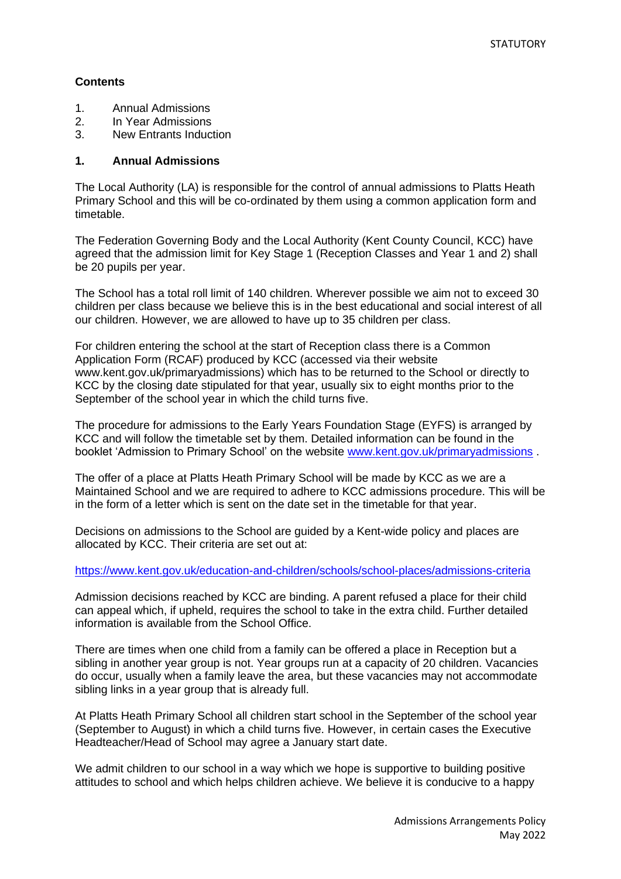#### **Contents**

- 1. Annual Admissions
- 2. In Year Admissions
- 3. New Entrants Induction

#### **1. Annual Admissions**

The Local Authority (LA) is responsible for the control of annual admissions to Platts Heath Primary School and this will be co-ordinated by them using a common application form and timetable.

The Federation Governing Body and the Local Authority (Kent County Council, KCC) have agreed that the admission limit for Key Stage 1 (Reception Classes and Year 1 and 2) shall be 20 pupils per year.

The School has a total roll limit of 140 children. Wherever possible we aim not to exceed 30 children per class because we believe this is in the best educational and social interest of all our children. However, we are allowed to have up to 35 children per class.

For children entering the school at the start of Reception class there is a Common Application Form (RCAF) produced by KCC (accessed via their website www.kent.gov.uk/primaryadmissions) which has to be returned to the School or directly to KCC by the closing date stipulated for that year, usually six to eight months prior to the September of the school year in which the child turns five.

The procedure for admissions to the Early Years Foundation Stage (EYFS) is arranged by KCC and will follow the timetable set by them. Detailed information can be found in the booklet 'Admission to Primary School' on the website [www.kent.gov.uk/primaryadmissions](http://www.kent.gov.uk/primaryadmissions) .

The offer of a place at Platts Heath Primary School will be made by KCC as we are a Maintained School and we are required to adhere to KCC admissions procedure. This will be in the form of a letter which is sent on the date set in the timetable for that year.

Decisions on admissions to the School are guided by a Kent-wide policy and places are allocated by KCC. Their criteria are set out at:

<https://www.kent.gov.uk/education-and-children/schools/school-places/admissions-criteria>

Admission decisions reached by KCC are binding. A parent refused a place for their child can appeal which, if upheld, requires the school to take in the extra child. Further detailed information is available from the School Office.

There are times when one child from a family can be offered a place in Reception but a sibling in another year group is not. Year groups run at a capacity of 20 children. Vacancies do occur, usually when a family leave the area, but these vacancies may not accommodate sibling links in a year group that is already full.

At Platts Heath Primary School all children start school in the September of the school year (September to August) in which a child turns five. However, in certain cases the Executive Headteacher/Head of School may agree a January start date.

We admit children to our school in a way which we hope is supportive to building positive attitudes to school and which helps children achieve. We believe it is conducive to a happy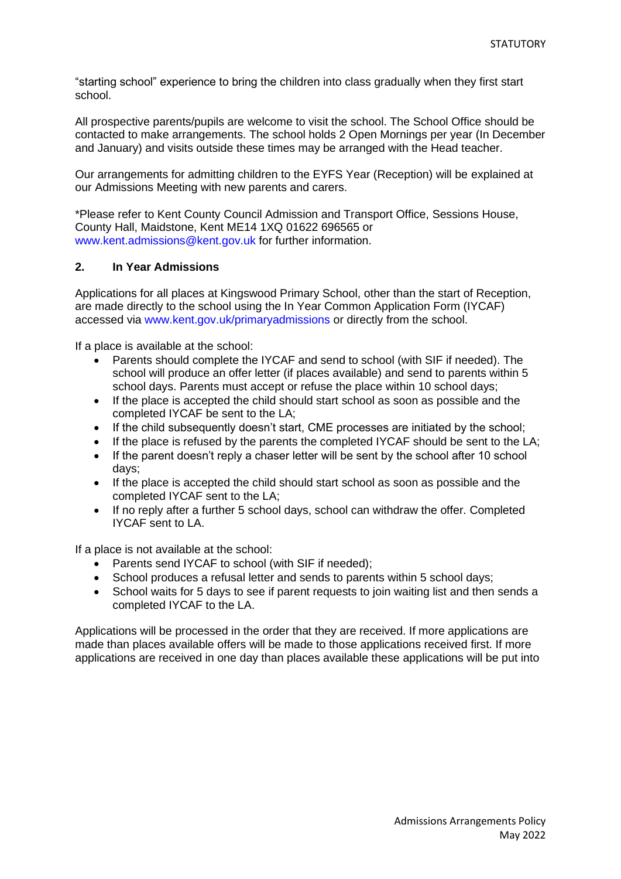"starting school" experience to bring the children into class gradually when they first start school.

All prospective parents/pupils are welcome to visit the school. The School Office should be contacted to make arrangements. The school holds 2 Open Mornings per year (In December and January) and visits outside these times may be arranged with the Head teacher.

Our arrangements for admitting children to the EYFS Year (Reception) will be explained at our Admissions Meeting with new parents and carers.

\*Please refer to Kent County Council Admission and Transport Office, Sessions House, County Hall, Maidstone, Kent ME14 1XQ 01622 696565 or www.kent.admissions@kent.gov.uk for further information.

#### **2. In Year Admissions**

Applications for all places at Kingswood Primary School, other than the start of Reception, are made directly to the school using the In Year Common Application Form (IYCAF) accessed via www.kent.gov.uk/primaryadmissions or directly from the school.

If a place is available at the school:

- Parents should complete the IYCAF and send to school (with SIF if needed). The school will produce an offer letter (if places available) and send to parents within 5 school days. Parents must accept or refuse the place within 10 school days;
- If the place is accepted the child should start school as soon as possible and the completed IYCAF be sent to the LA;
- If the child subsequently doesn't start, CME processes are initiated by the school;
- If the place is refused by the parents the completed IYCAF should be sent to the LA;
- If the parent doesn't reply a chaser letter will be sent by the school after 10 school days;
- If the place is accepted the child should start school as soon as possible and the completed IYCAF sent to the LA;
- If no reply after a further 5 school days, school can withdraw the offer. Completed IYCAF sent to LA.

If a place is not available at the school:

- Parents send IYCAF to school (with SIF if needed);
- School produces a refusal letter and sends to parents within 5 school days;
- School waits for 5 days to see if parent requests to join waiting list and then sends a completed IYCAF to the LA.

Applications will be processed in the order that they are received. If more applications are made than places available offers will be made to those applications received first. If more applications are received in one day than places available these applications will be put into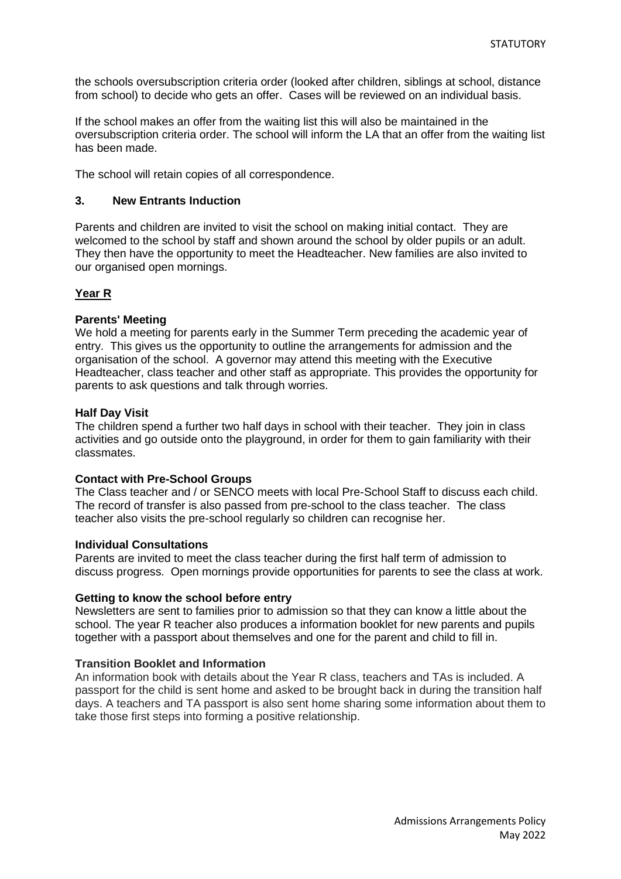the schools oversubscription criteria order (looked after children, siblings at school, distance from school) to decide who gets an offer. Cases will be reviewed on an individual basis.

If the school makes an offer from the waiting list this will also be maintained in the oversubscription criteria order. The school will inform the LA that an offer from the waiting list has been made.

The school will retain copies of all correspondence.

#### **3. New Entrants Induction**

Parents and children are invited to visit the school on making initial contact. They are welcomed to the school by staff and shown around the school by older pupils or an adult. They then have the opportunity to meet the Headteacher. New families are also invited to our organised open mornings.

#### **Year R**

#### **Parents' Meeting**

We hold a meeting for parents early in the Summer Term preceding the academic year of entry. This gives us the opportunity to outline the arrangements for admission and the organisation of the school. A governor may attend this meeting with the Executive Headteacher, class teacher and other staff as appropriate. This provides the opportunity for parents to ask questions and talk through worries.

#### **Half Day Visit**

The children spend a further two half days in school with their teacher. They join in class activities and go outside onto the playground, in order for them to gain familiarity with their classmates.

#### **Contact with Pre-School Groups**

The Class teacher and / or SENCO meets with local Pre-School Staff to discuss each child. The record of transfer is also passed from pre-school to the class teacher. The class teacher also visits the pre-school regularly so children can recognise her.

#### **Individual Consultations**

Parents are invited to meet the class teacher during the first half term of admission to discuss progress. Open mornings provide opportunities for parents to see the class at work.

#### **Getting to know the school before entry**

Newsletters are sent to families prior to admission so that they can know a little about the school. The year R teacher also produces a information booklet for new parents and pupils together with a passport about themselves and one for the parent and child to fill in.

#### **Transition Booklet and Information**

An information book with details about the Year R class, teachers and TAs is included. A passport for the child is sent home and asked to be brought back in during the transition half days. A teachers and TA passport is also sent home sharing some information about them to take those first steps into forming a positive relationship.